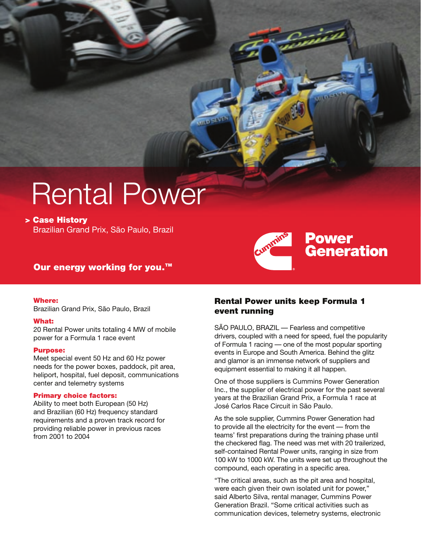# Rental Power

**> Case History** Brazilian Grand Prix, São Paulo, Brazil

## **Our energy working for you.™**

### **Where:**

Brazilian Grand Prix, São Paulo, Brazil

### **What:**

20 Rental Power units totaling 4 MW of mobile power for a Formula 1 race event

#### **Purpose:**

Meet special event 50 Hz and 60 Hz power needs for the power boxes, paddock, pit area, heliport, hospital, fuel deposit, communications center and telemetry systems

#### **Primary choice factors:**

Ability to meet both European (50 Hz) and Brazilian (60 Hz) frequency standard requirements and a proven track record for providing reliable power in previous races from 2001 to 2004

## **Rental Power units keep Formula 1 event running**

SÃO PAULO, BRAZIL — Fearless and competitive drivers, coupled with a need for speed, fuel the popularity of Formula 1 racing — one of the most popular sporting events in Europe and South America. Behind the glitz and glamor is an immense network of suppliers and equipment essential to making it all happen.

**Power** 

**Generation** 

One of those suppliers is Cummins Power Generation Inc., the supplier of electrical power for the past several years at the Brazilian Grand Prix, a Formula 1 race at José Carlos Race Circuit in São Paulo.

As the sole supplier, Cummins Power Generation had to provide all the electricity for the event — from the teams' first preparations during the training phase until the checkered flag. The need was met with 20 trailerized, self-contained Rental Power units, ranging in size from 100 kW to 1000 kW. The units were set up throughout the compound, each operating in a specific area.

"The critical areas, such as the pit area and hospital, were each given their own isolated unit for power," said Alberto Silva, rental manager, Cummins Power Generation Brazil. "Some critical activities such as communication devices, telemetry systems, electronic